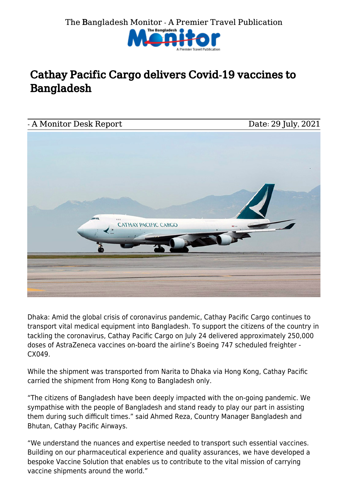

## Cathay Pacific Cargo delivers Covid-19 vaccines to Bangladesh



Dhaka: Amid the global crisis of coronavirus pandemic, Cathay Pacific Cargo continues to transport vital medical equipment into Bangladesh. To support the citizens of the country in tackling the coronavirus, Cathay Pacific Cargo on July 24 delivered approximately 250,000 doses of AstraZeneca vaccines on-board the airline's Boeing 747 scheduled freighter - CX049.

While the shipment was transported from Narita to Dhaka via Hong Kong, Cathay Pacific carried the shipment from Hong Kong to Bangladesh only.

"The citizens of Bangladesh have been deeply impacted with the on-going pandemic. We sympathise with the people of Bangladesh and stand ready to play our part in assisting them during such difficult times." said Ahmed Reza, Country Manager Bangladesh and Bhutan, Cathay Pacific Airways.

"We understand the nuances and expertise needed to transport such essential vaccines. Building on our pharmaceutical experience and quality assurances, we have developed a bespoke Vaccine Solution that enables us to contribute to the vital mission of carrying vaccine shipments around the world."